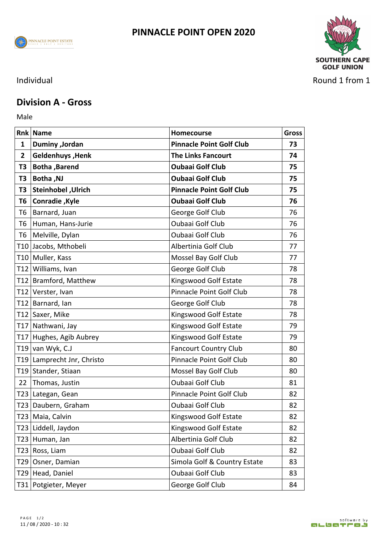





Individual Round 1 from 1

## **Division A - Gross**

Male **Male** 

|              | <b>Rnk Name</b>              | Homecourse                      | <b>Gross</b> |
|--------------|------------------------------|---------------------------------|--------------|
| 1            | Duminy , Jordan              | <b>Pinnacle Point Golf Club</b> | 73           |
| $\mathbf{2}$ | Geldenhuys, Henk             | <b>The Links Fancourt</b>       | 74           |
| T3           | Botha, Barend                | <b>Oubaai Golf Club</b>         | 75           |
| T3           | <b>Botha, NJ</b>             | <b>Oubaai Golf Club</b>         | 75           |
| T3           | Steinhobel, Ulrich           | <b>Pinnacle Point Golf Club</b> | 75           |
| T6           | <b>Conradie, Kyle</b>        | <b>Oubaai Golf Club</b>         | 76           |
|              | T6   Barnard, Juan           | George Golf Club                | 76           |
|              | T6 Human, Hans-Jurie         | Oubaai Golf Club                | 76           |
|              | T6   Melville, Dylan         | Oubaai Golf Club                | 76           |
|              | T10 Jacobs, Mthobeli         | Albertinia Golf Club            | 77           |
|              | T10 Muller, Kass             | Mossel Bay Golf Club            | 77           |
|              | T12 Williams, Ivan           | George Golf Club                | 78           |
|              | T12 Bramford, Matthew        | Kingswood Golf Estate           | 78           |
|              | T12 Verster, Ivan            | Pinnacle Point Golf Club        | 78           |
|              | T12 Barnard, Ian             | George Golf Club                | 78           |
|              | T12 Saxer, Mike              | Kingswood Golf Estate           | 78           |
|              | T17 Nathwani, Jay            | Kingswood Golf Estate           | 79           |
|              | T17 Hughes, Agib Aubrey      | Kingswood Golf Estate           | 79           |
|              | T <sub>19</sub> van Wyk, C.J | <b>Fancourt Country Club</b>    | 80           |
|              | T19 Lamprecht Jnr, Christo   | Pinnacle Point Golf Club        | 80           |
|              | T19 Stander, Stiaan          | Mossel Bay Golf Club            | 80           |
|              | 22 Thomas, Justin            | Oubaai Golf Club                | 81           |
|              | T23 Lategan, Gean            | Pinnacle Point Golf Club        | 82           |
|              | T23 Daubern, Graham          | Oubaai Golf Club                | 82           |
|              | T23 Maia, Calvin             | Kingswood Golf Estate           | 82           |
|              | T23 Liddell, Jaydon          | Kingswood Golf Estate           | 82           |
|              | T23 Human, Jan               | Albertinia Golf Club            | 82           |
|              | T23 Ross, Liam               | Oubaai Golf Club                | 82           |
|              | T29 Osner, Damian            | Simola Golf & Country Estate    | 83           |
|              | T29 Head, Daniel             | Oubaai Golf Club                | 83           |
|              | T31 Potgieter, Meyer         | George Golf Club                | 84           |